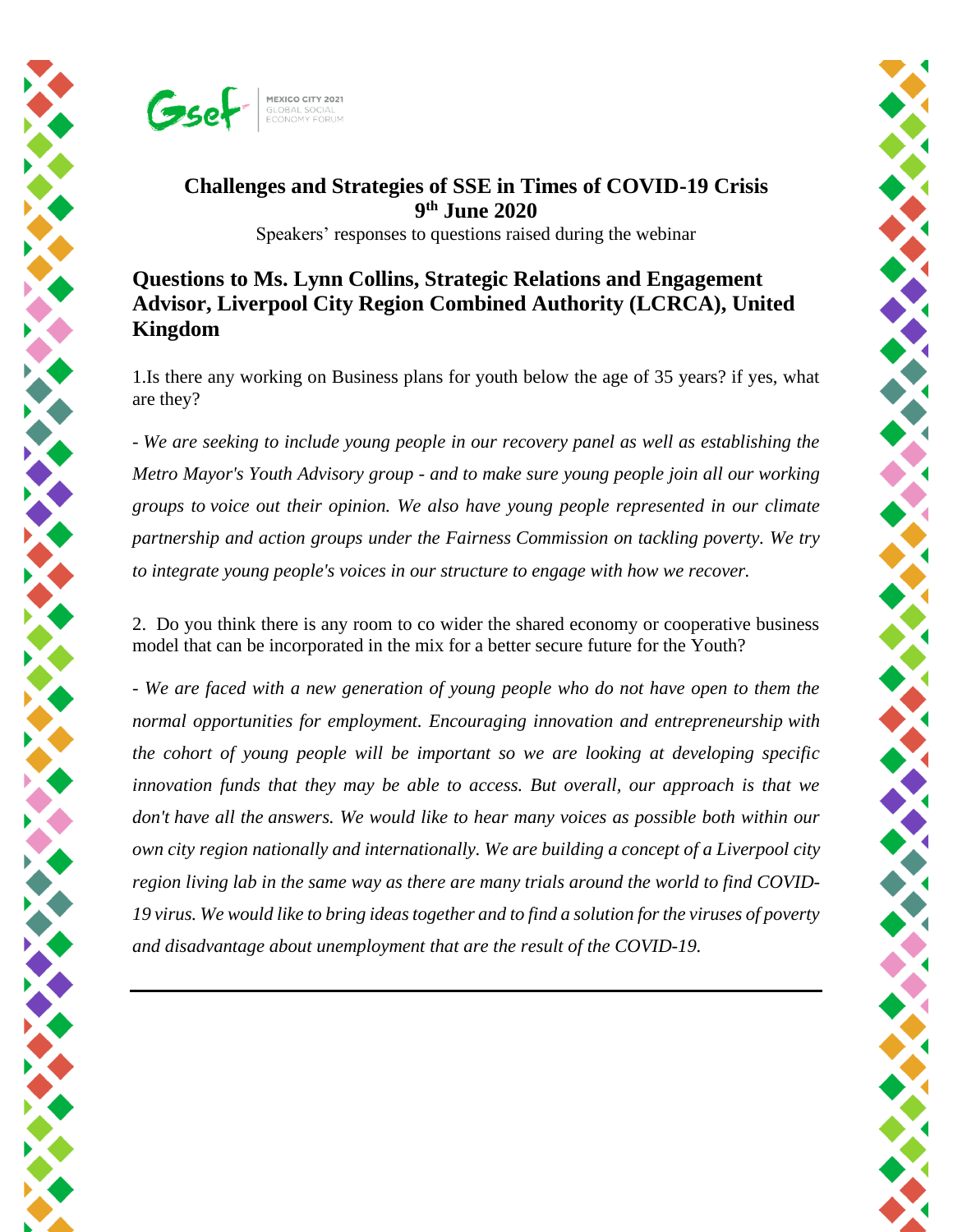

## **Challenges and Strategies of SSE in Times of COVID-19 Crisis 9 th June 2020**

Speakers' responses to questions raised during the webinar

## **Questions to Ms. Lynn Collins, Strategic Relations and Engagement Advisor, Liverpool City Region Combined Authority (LCRCA), United Kingdom**

1.Is there any working on Business plans for youth below the age of 35 years? if yes, what are they?

*- We are seeking to include young people in our recovery panel as well as establishing the Metro Mayor's Youth Advisory group - and to make sure young people join all our working groups to voice out their opinion. We also have young people represented in our climate partnership and action groups under the Fairness Commission on tackling poverty. We try to integrate young people's voices in our structure to engage with how we recover.*

2. Do you think there is any room to co wider the shared economy or cooperative business model that can be incorporated in the mix for a better secure future for the Youth?

*- We are faced with a new generation of young people who do not have open to them the normal opportunities for employment. Encouraging innovation and entrepreneurship with the cohort of young people will be important so we are looking at developing specific innovation funds that they may be able to access. But overall, our approach is that we don't have all the answers. We would like to hear many voices as possible both within our own city region nationally and internationally. We are building a concept of a Liverpool city region living lab in the same way as there are many trials around the world to find COVID-19 virus. We would like to bring ideas together and to find a solution for the viruses of poverty and disadvantage about unemployment that are the result of the COVID-19.*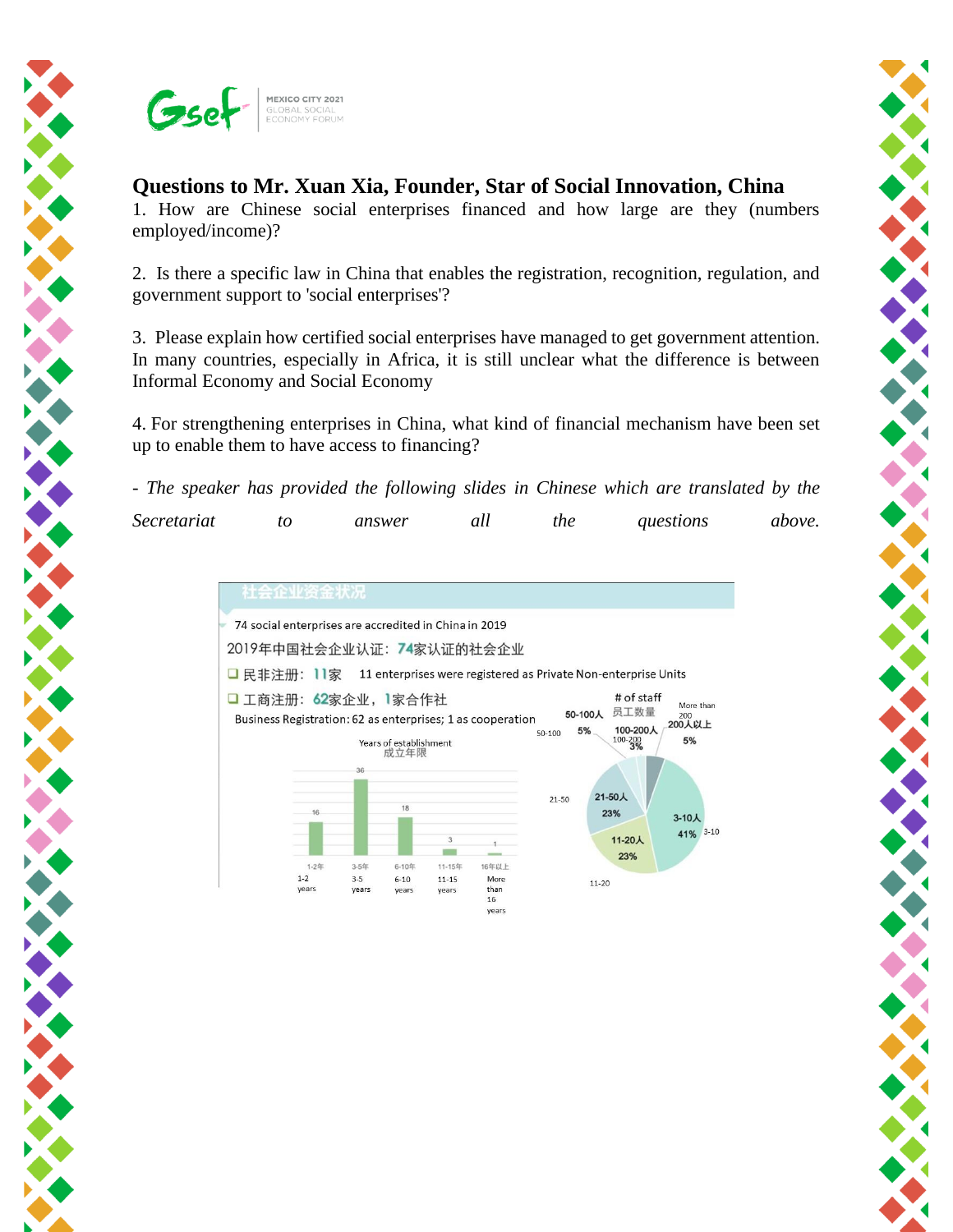

## **Questions to Mr. Xuan Xia, Founder, Star of Social Innovation, China**

1. How are Chinese social enterprises financed and how large are they (numbers employed/income)?

2. Is there a specific law in China that enables the registration, recognition, regulation, and government support to 'social enterprises'?

3. Please explain how certified social enterprises have managed to get government attention. In many countries, especially in Africa, it is still unclear what the difference is between Informal Economy and Social Economy

4. For strengthening enterprises in China, what kind of financial mechanism have been set up to enable them to have access to financing?

*- The speaker has provided the following slides in Chinese which are translated by the Secretariat to answer all the questions above.* 



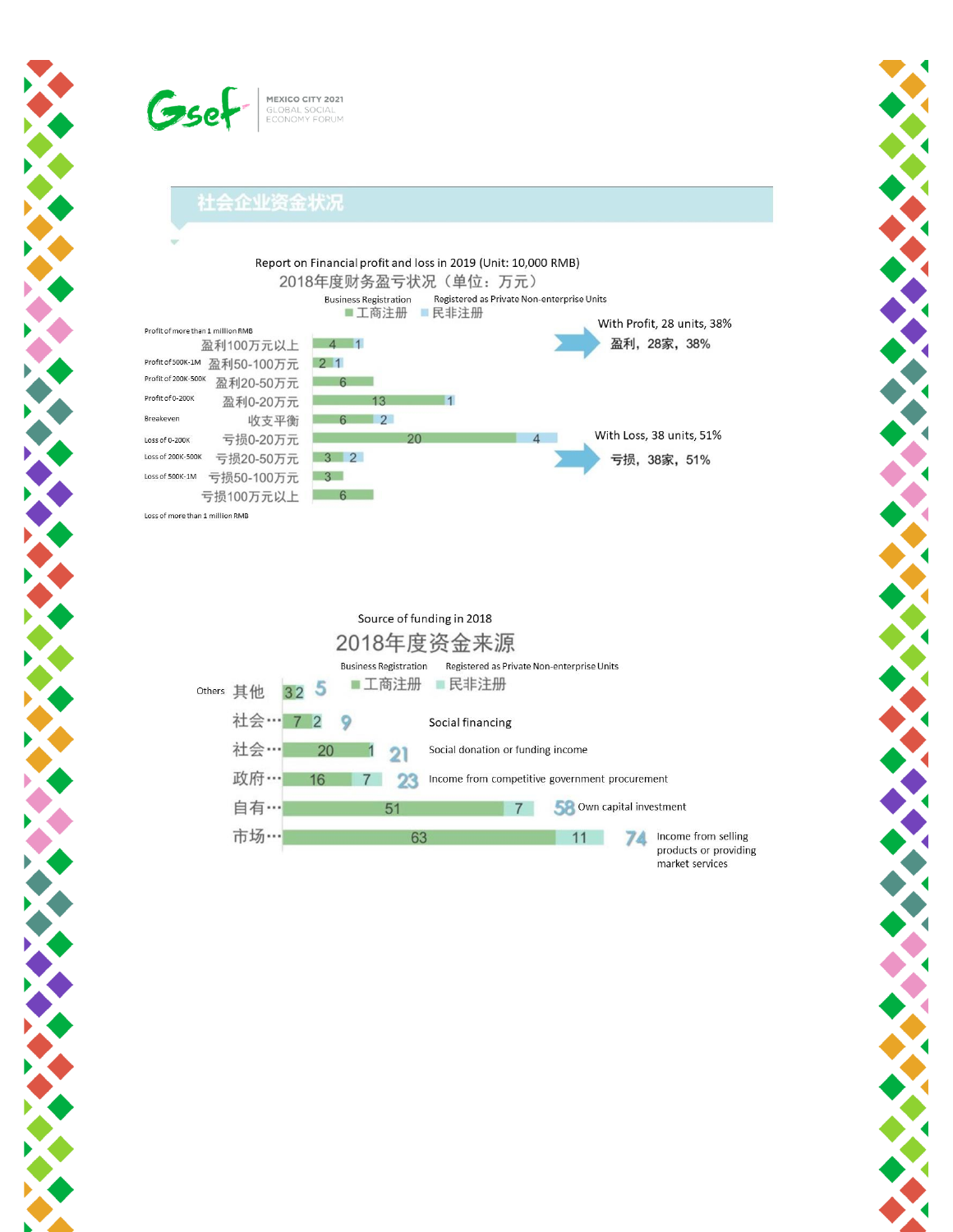

## 社会企业资金状况

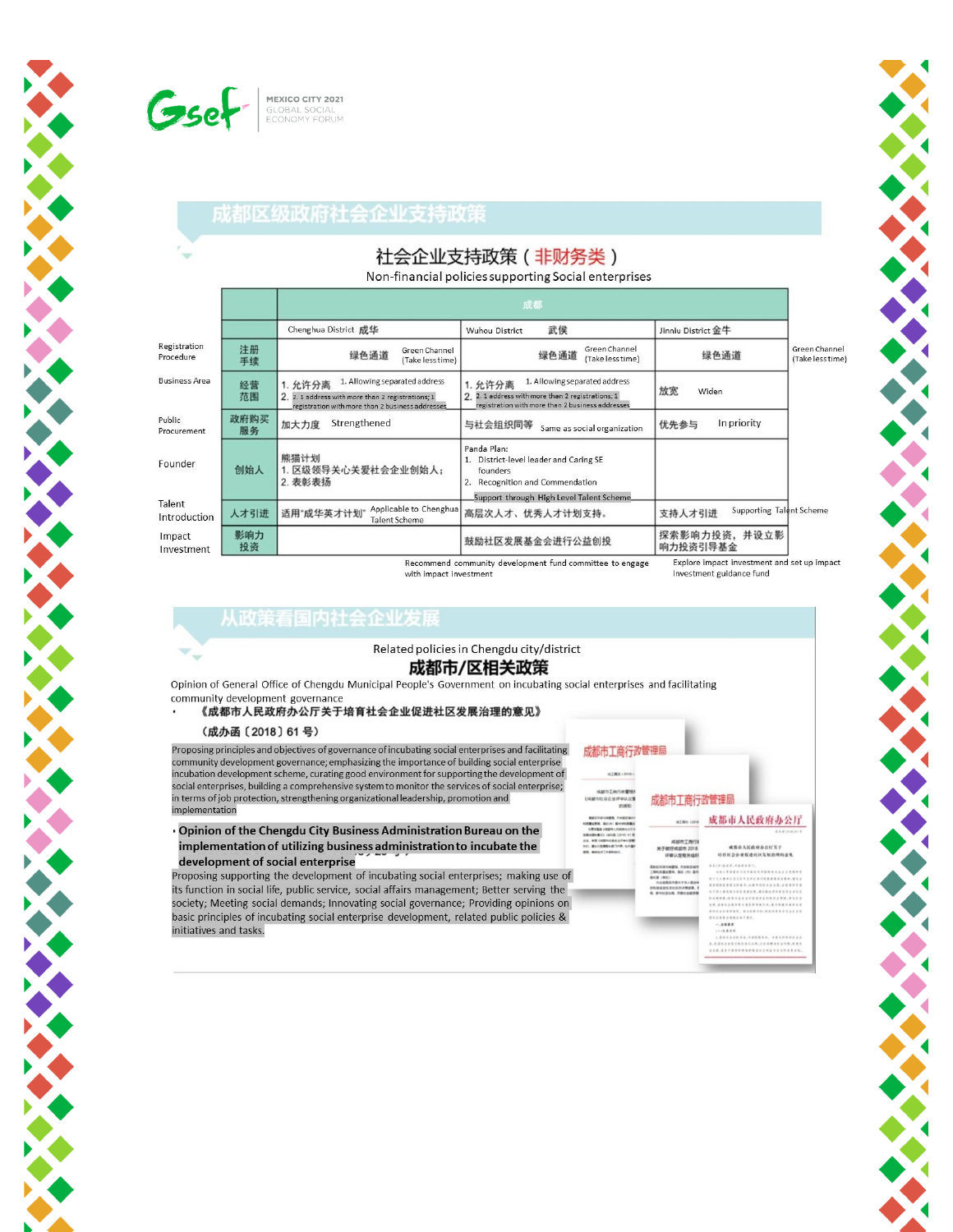

**CALLAGE** 

**CONTRACTOR** 

## 成都区级政府社会企业支持政策

# 社会企业支持政策 (非财务类)

Non-financial policies supporting Social enterprises

|                           |            | 成都                                                                                                                                                |                                                                                                                                                   |                                                                                                                                                                                                                                                            |                                   |  |
|---------------------------|------------|---------------------------------------------------------------------------------------------------------------------------------------------------|---------------------------------------------------------------------------------------------------------------------------------------------------|------------------------------------------------------------------------------------------------------------------------------------------------------------------------------------------------------------------------------------------------------------|-----------------------------------|--|
|                           |            | Chenghua District 成华                                                                                                                              | 武侯<br><b>Wuhou District</b>                                                                                                                       | Jinniu District 金牛                                                                                                                                                                                                                                         |                                   |  |
| Registration<br>Procedure | 注册<br>手续   | Green Channel<br>绿色通道<br>(Take less time)                                                                                                         | Green Channel<br>绿色通道<br>(Take less time)                                                                                                         | 绿色通道                                                                                                                                                                                                                                                       | Green Channel<br>(Take less time) |  |
| <b>Business Area</b>      | 经营<br>范围   | 1. Allowing separated address<br>1. 允许分离<br>2. 2. 1 address with more than 2 registrations; 1<br>registration with more than 2 business addresses | 1. Allowing separated address<br>1. 允许分离<br>2. 2. 1 address with more than 2 registrations; 1<br>registration with more than 2 business addresses | 放宽<br>Widen                                                                                                                                                                                                                                                |                                   |  |
| Public<br>Procurement     | 政府购买<br>服务 | Strengthened<br>加大力度                                                                                                                              | 与社会组织同等<br>Same as social organization                                                                                                            | In priority<br>优先参与                                                                                                                                                                                                                                        |                                   |  |
| Founder                   | 创始人        | 熊猫计划<br>1. 区级领导关心关爱社会企业创始人;<br>2. 表彰表扬                                                                                                            | Panda Plan:<br>District-level leader and Caring SE<br>founders<br>2. Recognition and Commendation                                                 |                                                                                                                                                                                                                                                            |                                   |  |
| Talent<br>Introduction    | 人才引进       | Applicable to Chenghua<br>适用"成华英才计划"<br>Talent Scheme                                                                                             | Support through High Level Talent Scheme.<br>高层次人才、优秀人才计划支持。                                                                                      | Supporting Talent Scheme<br>支持人才引进                                                                                                                                                                                                                         |                                   |  |
| Impact<br>Investment      | 影响力<br>投资  | and the con-                                                                                                                                      | 鼓励社区发展基金会进行公益创投<br>- 100 March 2014 12:00 March 2014 12:00 March 2014 12:00 March 2014 12:00 March 2014 12:00 March 2014 12:00 Ma                 | 探索影响力投资,并设立影<br>响力投资引导基金<br>HE REPORT OF A REPORT OF THE REPORT OF A REPORT OF THE REPORT OF A REPORT OF THE REPORT OF THE REPORT OF THE REPORT OF THE REPORT OF THE REPORT OF THE REPORT OF THE REPORT OF THE REPORT OF THE REPORT OF THE REPORT OF THE R |                                   |  |

Recommend community development fund committee to engage with impact investment

xplore impact and set up impact nves investment guidance fund

## 从政策看国内社会企业发展

#### Related policies in Chengdu city/district

### 成都市/区相关政策

Opinion of General Office of Chengdu Municipal People's Government on incubating social enterprises and facilitating community development governance

### 《成都市人民政府办公厅关于培育社会企业促进社区发展治理的意见》

#### (成办函〔2018〕61号)

 $\nabla_{\mathbf{q}}$ 

Proposing principles and objectives of governance of incubating social enterprises and facilitating community development governance; emphasizing the importance of building social enterprise incubation development scheme, curating good environment for supporting the development of social enterprises, building a comprehensive system to monitor the services of social enterprise; in terms of job protection, strengthening organizational leadership, promotion and implementation

Opinion of the Chengdu City Business Administration Bureau on the implementation of utilizing business administration to incubate the development of social enterprise

Proposing supporting the development of incubating social enterprises; making use of its function in social life, public service, social affairs management; Better serving the society; Meeting social demands; Innovating social governance; Providing opinions on basic principles of incubating social enterprise development, related public policies & initiatives and tasks.

# 成都市工商行政管理局 成都市工商行政管理局

#### 成都市人民政府办公厅 AZMO (2018)

IEN. FANGWO<br>IN. BIL (7) BY

#### **ENTRUM**<br>IFOS *REMENS*<br>SEXERUMER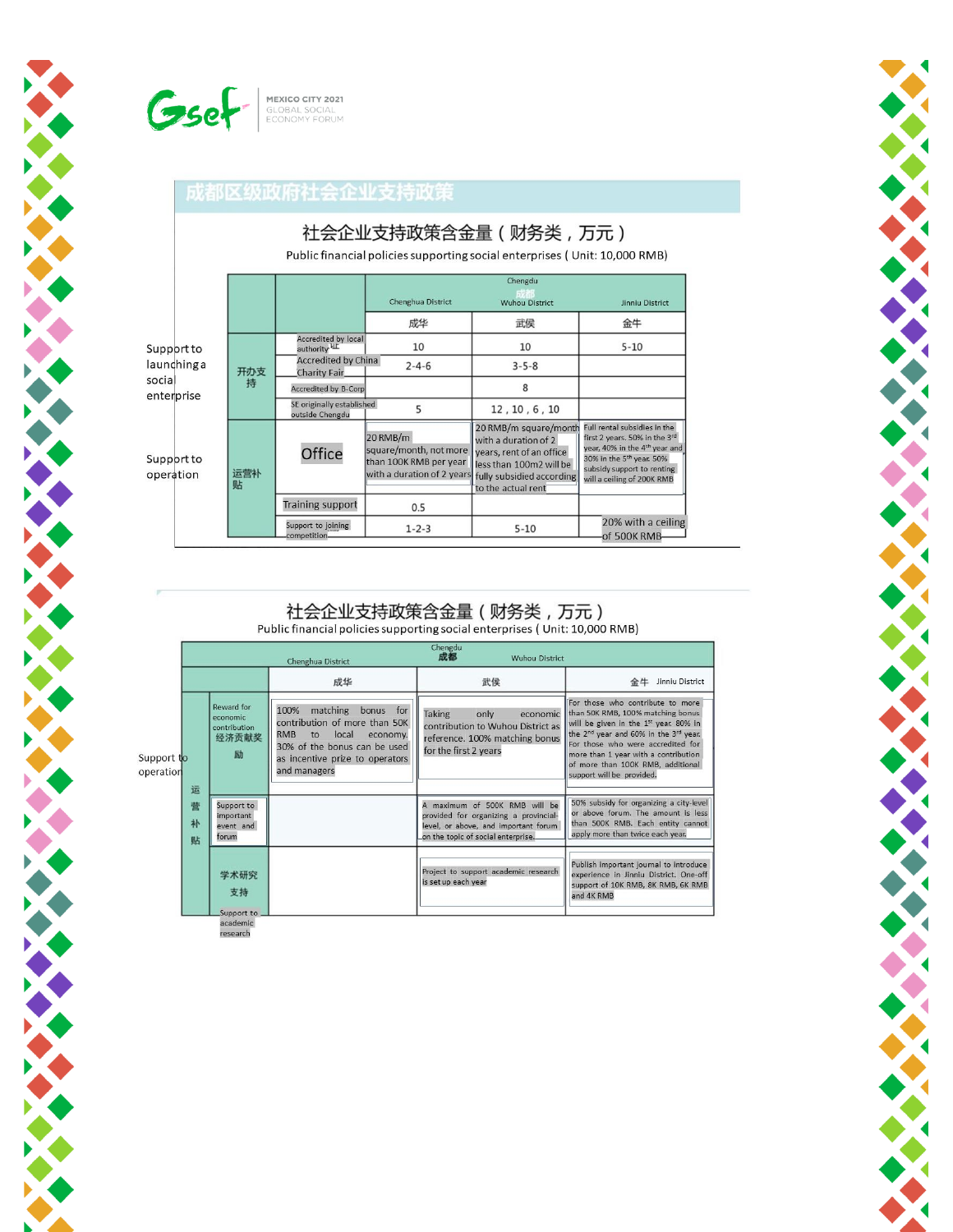

A PARTY AND POST OFFICERS

**CONTRACTOR** 

## 成都区级政府社会企业支持政策

|                                    | 社会企业支持政策含金量 ( 财务类, 万元) |                                            |                                                 |                                                                                                                                                        |                                                                                                                                                         |                                                                                                                                                                                                                |
|------------------------------------|------------------------|--------------------------------------------|-------------------------------------------------|--------------------------------------------------------------------------------------------------------------------------------------------------------|---------------------------------------------------------------------------------------------------------------------------------------------------------|----------------------------------------------------------------------------------------------------------------------------------------------------------------------------------------------------------------|
|                                    |                        |                                            |                                                 | Public financial policies supporting social enterprises (Unit: 10,000 RMB)<br>Chengdu<br>Chenghua District<br><b>Wuhou District</b><br>Jinniu District |                                                                                                                                                         |                                                                                                                                                                                                                |
|                                    |                        |                                            |                                                 | 成华                                                                                                                                                     | 武侯                                                                                                                                                      | 金牛                                                                                                                                                                                                             |
| Support to                         |                        |                                            | Accredited by local<br>authority <sup>ILE</sup> | 10                                                                                                                                                     | 10                                                                                                                                                      | $5 - 10$                                                                                                                                                                                                       |
| launchinga<br>social<br>enterprise | 开办支                    | <b>Accredited by China</b><br>Charity Fair | $2 - 4 - 6$                                     | $3 - 5 - 8$                                                                                                                                            |                                                                                                                                                         |                                                                                                                                                                                                                |
|                                    |                        | 持                                          | <b>Accredited by B-Corp</b>                     |                                                                                                                                                        | 8                                                                                                                                                       |                                                                                                                                                                                                                |
|                                    |                        |                                            | SE originally established<br>outside Chengdu    | 5                                                                                                                                                      | 12, 10, 6, 10                                                                                                                                           |                                                                                                                                                                                                                |
| Support to<br>operation            |                        | 运营补<br>贴                                   | Office                                          | $20$ RMB/m<br>square/month, not more<br>than 100K RMB per year<br>with a duration of 2 years                                                           | 20 RMB/m square/month<br>with a duration of 2<br>years, rent of an office<br>less than 100m2 will be<br>fully subsidied according<br>to the actual rent | Full rental subsidies in the<br>first 2 years. 50% in the 3rd<br>year, 40% in the 4 <sup>th</sup> year and<br>30% in the 5 <sup>th</sup> year. 50%<br>subsidy support to renting<br>will a ceiling of 200K RMB |
|                                    |                        | <b>Training support</b>                    | 0.5                                             |                                                                                                                                                        |                                                                                                                                                         |                                                                                                                                                                                                                |
|                                    |                        |                                            | Support to joining<br>competition               | $1 - 2 - 3$                                                                                                                                            | $5 - 10$                                                                                                                                                | 20% with a ceiling<br>of 500K RMB                                                                                                                                                                              |

#### 社会企业支持政策含金量 (财务类,万元) Public financial policies supporting social enterprises (Unit: 10,000 RMB)

|                              |                                                      | Chenghua District                                                                                                                                                                          | Chengdu<br>成都<br><b>Wuhou District</b>                                                                                                               |                                                                                                                                                                                                                                                                                                                                            |
|------------------------------|------------------------------------------------------|--------------------------------------------------------------------------------------------------------------------------------------------------------------------------------------------|------------------------------------------------------------------------------------------------------------------------------------------------------|--------------------------------------------------------------------------------------------------------------------------------------------------------------------------------------------------------------------------------------------------------------------------------------------------------------------------------------------|
|                              |                                                      | 成华                                                                                                                                                                                         | 武侯                                                                                                                                                   | 金牛<br>Jinniu District                                                                                                                                                                                                                                                                                                                      |
| Support to<br>operation<br>运 | Reward for<br>economic<br>contribution<br>经济贡献奖<br>励 | 100%<br>matching<br>bonus for<br>contribution of more than 50K<br><b>RMB</b><br>local<br>to<br>economy.<br>30% of the bonus can be used<br>as incentive prize to operators<br>and managers | <b>Taking</b><br>only<br>economic<br>contribution to Wuhou District as<br>reference. 100% matching bonus<br>for the first 2 years                    | For those who contribute to more<br>than 50K RMB, 100% matching bonus<br>will be given in the 1 <sup>st</sup> year. 80% in<br>the 2 <sup>nd</sup> year and 60% in the 3 <sup>rd</sup> year.<br>For those who were accredited for<br>more than 1 year with a contribution<br>of more than 100K RMB, additional<br>support will be provided. |
| 营<br>补<br>贴                  | Support to<br>important<br>event and<br>forum        |                                                                                                                                                                                            | A maximum of 500K RMB will be<br>provided for organizing a provincial-<br>level, or above, and important forum<br>on the topic of social enterprise. | 50% subsidy for organizing a city-level<br>or above forum. The amount is less<br>than 500K RMB. Each entity cannot<br>apply more than twice each year.                                                                                                                                                                                     |
|                              | 学术研究<br>支持<br>Support to                             |                                                                                                                                                                                            | Project to support academic research<br>is set up each year                                                                                          | Publish important journal to introduce<br>experience in Jinniu District. One-off<br>support of 10K RMB, 8K RMB, 6K RMB<br>and 4K RMB                                                                                                                                                                                                       |

research

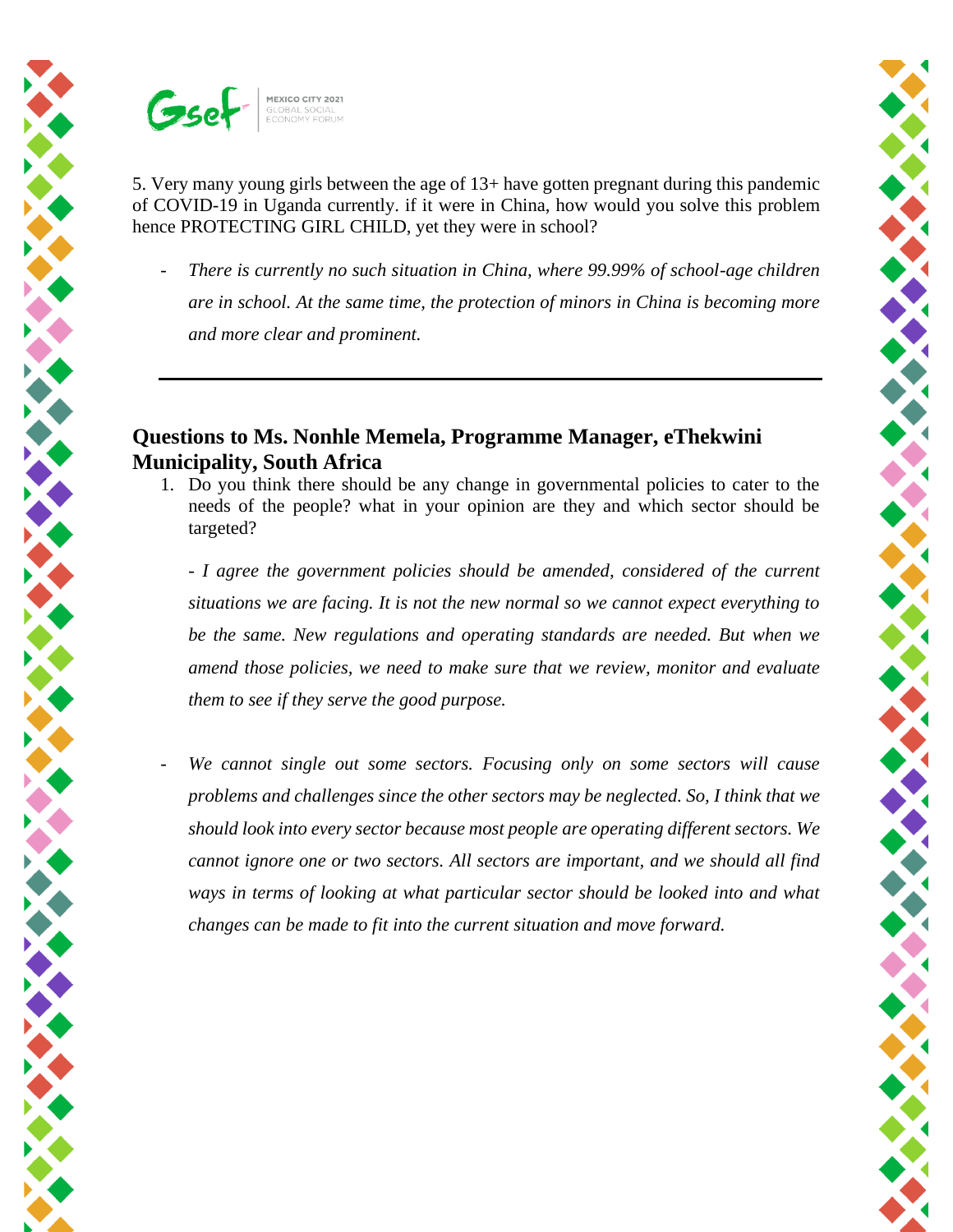

5. Very many young girls between the age of 13+ have gotten pregnant during this pandemic of COVID-19 in Uganda currently. if it were in China, how would you solve this problem hence PROTECTING GIRL CHILD, yet they were in school?

*There is currently no such situation in China, where 99.99% of school-age children are in school. At the same time, the protection of minors in China is becoming more and more clear and prominent.* 

## **Questions to Ms. Nonhle Memela, Programme Manager, eThekwini Municipality, South Africa**

1. Do you think there should be any change in governmental policies to cater to the needs of the people? what in your opinion are they and which sector should be targeted?

*- I agree the government policies should be amended, considered of the current situations we are facing. It is not the new normal so we cannot expect everything to be the same. New regulations and operating standards are needed. But when we amend those policies, we need to make sure that we review, monitor and evaluate them to see if they serve the good purpose.*

- *We cannot single out some sectors. Focusing only on some sectors will cause problems and challenges since the other sectors may be neglected. So, I think that we should look into every sector because most people are operating different sectors. We cannot ignore one or two sectors. All sectors are important, and we should all find ways in terms of looking at what particular sector should be looked into and what changes can be made to fit into the current situation and move forward.*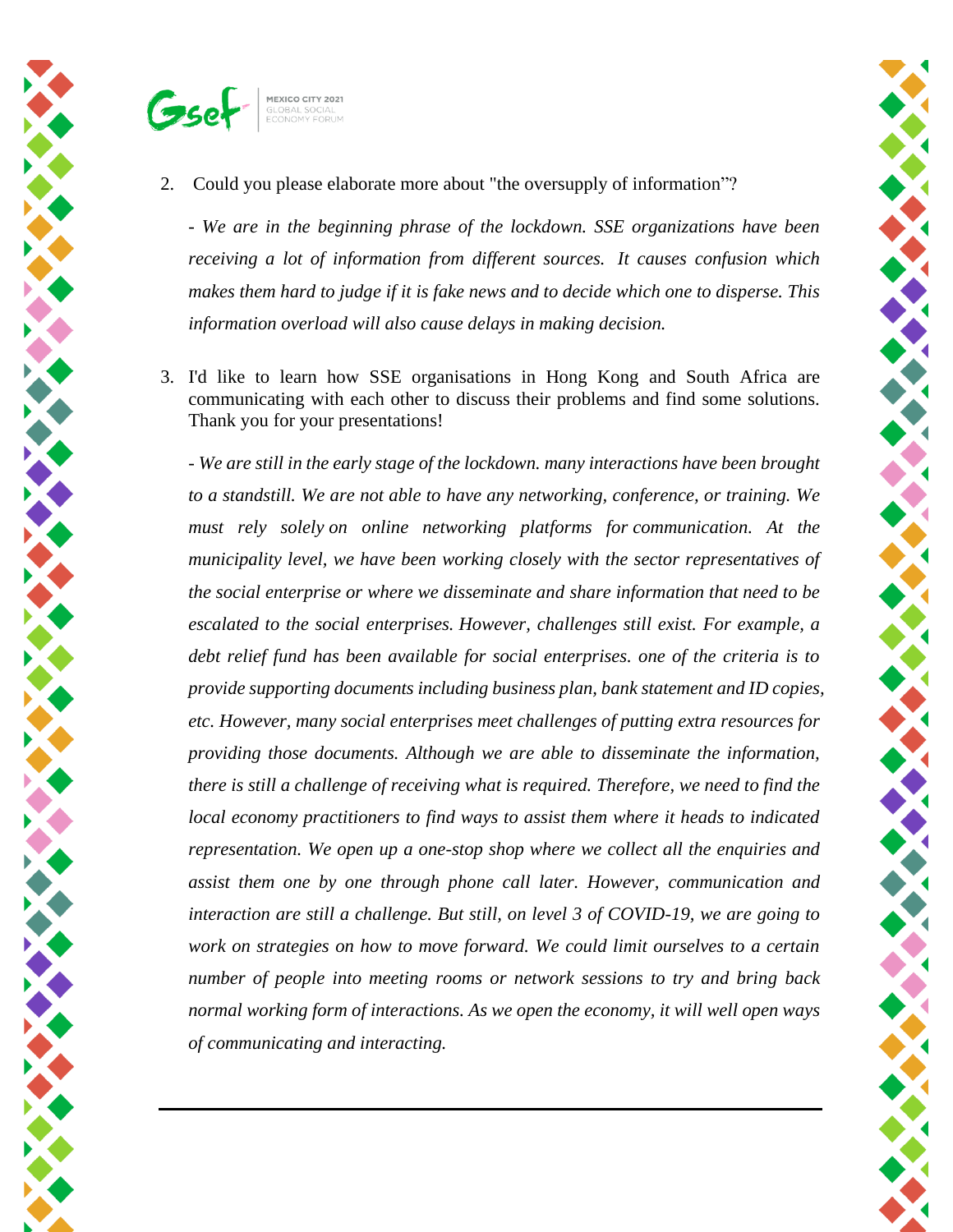



2. Could you please elaborate more about "the oversupply of information"?

*- We are in the beginning phrase of the lockdown. SSE organizations have been receiving a lot of information from different sources. It causes confusion which makes them hard to judge if it is fake news and to decide which one to disperse. This information overload will also cause delays in making decision.*

3. I'd like to learn how SSE organisations in Hong Kong and South Africa are communicating with each other to discuss their problems and find some solutions. Thank you for your presentations!

*- We are still in the early stage of the lockdown. many interactions have been brought to a standstill. We are not able to have any networking, conference, or training. We must rely solely on online networking platforms for communication. At the municipality level, we have been working closely with the sector representatives of the social enterprise or where we disseminate and share information that need to be escalated to the social enterprises. However, challenges still exist. For example, a debt relief fund has been available for social enterprises. one of the criteria is to provide supporting documents including business plan, bank statement and ID copies, etc. However, many social enterprises meet challenges of putting extra resources for providing those documents. Although we are able to disseminate the information, there is still a challenge of receiving what is required. Therefore, we need to find the local economy practitioners to find ways to assist them where it heads to indicated representation. We open up a one-stop shop where we collect all the enquiries and assist them one by one through phone call later. However, communication and interaction are still a challenge. But still, on level 3 of COVID-19, we are going to work on strategies on how to move forward. We could limit ourselves to a certain number of people into meeting rooms or network sessions to try and bring back normal working form of interactions. As we open the economy, it will well open ways of communicating and interacting.*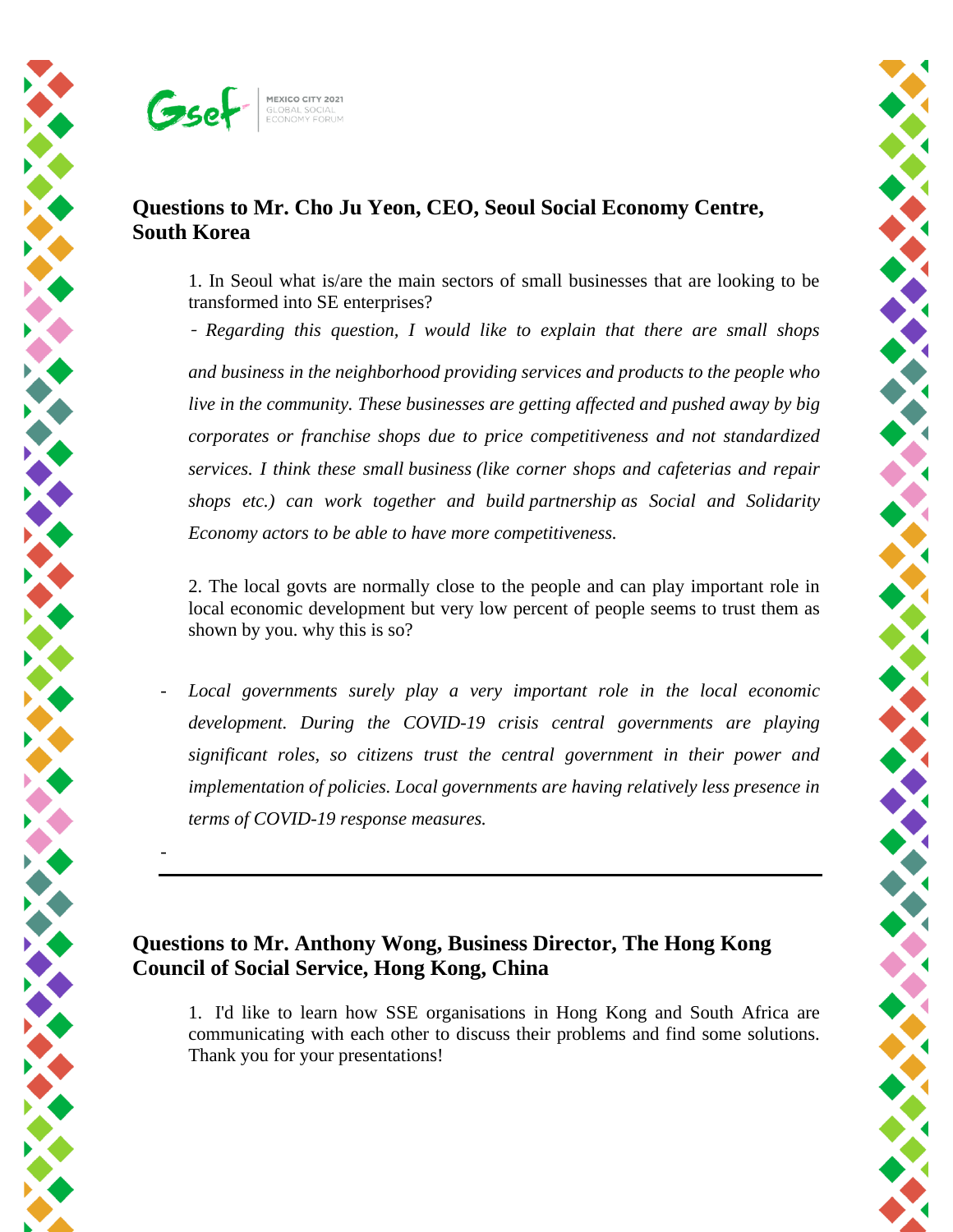

## **Questions to Mr. Cho Ju Yeon, CEO, Seoul Social Economy Centre, South Korea**

1. In Seoul what is/are the main sectors of small businesses that are looking to be transformed into SE enterprises?

- *Regarding this question, I would like to explain that there are small shops and business in the neighborhood providing services and products to the people who live in the community. These businesses are getting affected and pushed away by big corporates or franchise shops due to price competitiveness and not standardized services. I think these small business (like corner shops and cafeterias and repair shops etc.) can work together and build partnership as Social and Solidarity Economy actors to be able to have more competitiveness.*

2. The local govts are normally close to the people and can play important role in local economic development but very low percent of people seems to trust them as shown by you. why this is so?

Local governments surely play a very important role in the local economic *development. During the COVID-19 crisis central governments are playing significant roles, so citizens trust the central government in their power and implementation of policies. Local governments are having relatively less presence in terms of COVID-19 response measures.*

## **Questions to Mr. Anthony Wong, Business Director, The Hong Kong Council of Social Service, Hong Kong, China**

1. I'd like to learn how SSE organisations in Hong Kong and South Africa are communicating with each other to discuss their problems and find some solutions. Thank you for your presentations!

-